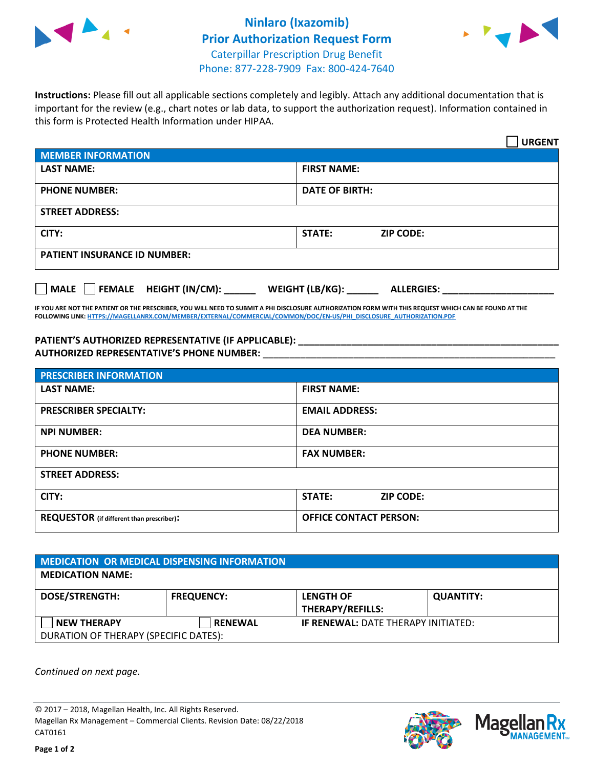

## **Ninlaro (Ixazomib) Prior Authorization Request Form** Caterpillar Prescription Drug Benefit Phone: 877-228-7909 Fax: 800-424-7640



**Instructions:** Please fill out all applicable sections completely and legibly. Attach any additional documentation that is important for the review (e.g., chart notes or lab data, to support the authorization request). Information contained in this form is Protected Health Information under HIPAA.

|                                       | <b>URGENT</b>                        |  |
|---------------------------------------|--------------------------------------|--|
| <b>MEMBER INFORMATION</b>             |                                      |  |
| <b>LAST NAME:</b>                     | <b>FIRST NAME:</b>                   |  |
| <b>PHONE NUMBER:</b>                  | <b>DATE OF BIRTH:</b>                |  |
| <b>STREET ADDRESS:</b>                |                                      |  |
| CITY:                                 | <b>STATE:</b><br><b>ZIP CODE:</b>    |  |
| <b>PATIENT INSURANCE ID NUMBER:</b>   |                                      |  |
| FEMALE HEIGHT (IN/CM):<br><b>MALE</b> | WEIGHT (LB/KG):<br><b>ALLERGIES:</b> |  |

**IF YOU ARE NOT THE PATIENT OR THE PRESCRIBER, YOU WILL NEED TO SUBMIT A PHI DISCLOSURE AUTHORIZATION FORM WITH THIS REQUEST WHICH CAN BE FOUND AT THE FOLLOWING LINK[: HTTPS://MAGELLANRX.COM/MEMBER/EXTERNAL/COMMERCIAL/COMMON/DOC/EN-US/PHI\\_DISCLOSURE\\_AUTHORIZATION.PDF](https://magellanrx.com/member/external/commercial/common/doc/en-us/PHI_Disclosure_Authorization.pdf)**

**PATIENT'S AUTHORIZED REPRESENTATIVE (IF APPLICABLE): \_\_\_\_\_\_\_\_\_\_\_\_\_\_\_\_\_\_\_\_\_\_\_\_\_\_\_\_\_\_\_\_\_\_\_\_\_\_\_\_\_\_\_\_\_\_\_\_\_ AUTHORIZED REPRESENTATIVE'S PHONE NUMBER:** \_\_\_\_\_\_\_\_\_\_\_\_\_\_\_\_\_\_\_\_\_\_\_\_\_\_\_\_\_\_\_\_\_\_\_\_\_\_\_\_\_\_\_\_\_\_\_\_\_\_\_\_\_\_\_

| <b>PRESCRIBER INFORMATION</b>             |                               |  |
|-------------------------------------------|-------------------------------|--|
| <b>LAST NAME:</b>                         | <b>FIRST NAME:</b>            |  |
| <b>PRESCRIBER SPECIALTY:</b>              | <b>EMAIL ADDRESS:</b>         |  |
| <b>NPI NUMBER:</b>                        | <b>DEA NUMBER:</b>            |  |
| <b>PHONE NUMBER:</b>                      | <b>FAX NUMBER:</b>            |  |
| <b>STREET ADDRESS:</b>                    |                               |  |
| CITY:                                     | STATE:<br><b>ZIP CODE:</b>    |  |
| REQUESTOR (if different than prescriber): | <b>OFFICE CONTACT PERSON:</b> |  |

| <b>MEDICATION OR MEDICAL DISPENSING INFORMATION</b> |                   |                                            |                  |  |  |
|-----------------------------------------------------|-------------------|--------------------------------------------|------------------|--|--|
| <b>MEDICATION NAME:</b>                             |                   |                                            |                  |  |  |
| <b>DOSE/STRENGTH:</b>                               | <b>FREQUENCY:</b> | <b>LENGTH OF</b>                           | <b>QUANTITY:</b> |  |  |
|                                                     |                   | <b>THERAPY/REFILLS:</b>                    |                  |  |  |
| <b>NEW THERAPY</b>                                  | <b>RENEWAL</b>    | <b>IF RENEWAL: DATE THERAPY INITIATED:</b> |                  |  |  |
| DURATION OF THERAPY (SPECIFIC DATES):               |                   |                                            |                  |  |  |

*Continued on next page.*

© 2017 – 2018, Magellan Health, Inc. All Rights Reserved. Magellan Rx Management – Commercial Clients. Revision Date: 08/22/2018 CAT0161